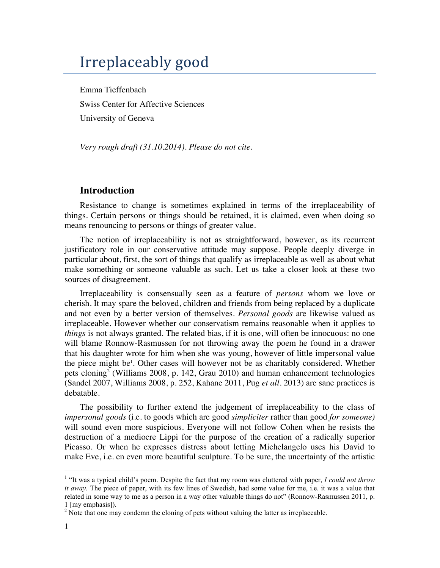# Irreplaceably good

Emma Tieffenbach Swiss Center for Affective Sciences University of Geneva

*Very rough draft (31.10.2014). Please do not cite.*

# **Introduction**

Resistance to change is sometimes explained in terms of the irreplaceability of things. Certain persons or things should be retained, it is claimed, even when doing so means renouncing to persons or things of greater value.

The notion of irreplaceability is not as straightforward, however, as its recurrent justificatory role in our conservative attitude may suppose. People deeply diverge in particular about, first, the sort of things that qualify as irreplaceable as well as about what make something or someone valuable as such. Let us take a closer look at these two sources of disagreement.

Irreplaceability is consensually seen as a feature of *persons* whom we love or cherish. It may spare the beloved, children and friends from being replaced by a duplicate and not even by a better version of themselves. *Personal goods* are likewise valued as irreplaceable*.* However whether our conservatism remains reasonable when it applies to *things* is not always granted. The related bias, if it is one, will often be innocuous: no one will blame Ronnow-Rasmussen for not throwing away the poem he found in a drawer that his daughter wrote for him when she was young, however of little impersonal value the piece might be<sup>1</sup>. Other cases will however not be as charitably considered. Whether pets cloning<sup>2</sup> (Williams 2008, p. 142, Grau 2010) and human enhancement technologies (Sandel 2007, Williams 2008, p. 252, Kahane 2011, Pug *et all.* 2013) are sane practices is debatable.

The possibility to further extend the judgement of irreplaceability to the class of *impersonal goods* (i.e. to goods which are good *simpliciter* rather than good *for someone)* will sound even more suspicious. Everyone will not follow Cohen when he resists the destruction of a mediocre Lippi for the purpose of the creation of a radically superior Picasso. Or when he expresses distress about letting Michelangelo uses his David to make Eve, i.e. en even more beautiful sculpture. To be sure, the uncertainty of the artistic

 $\ddot{ }$ 

<sup>1</sup> "It was a typical child's poem. Despite the fact that my room was cluttered with paper, *I could not throw it away.* The piece of paper, with its few lines of Swedish, had some value for me, i.e. it was a value that related in some way to me as a person in a way other valuable things do not" (Ronnow-Rasmussen 2011, p. 1 [my emphasis]). <sup>2</sup> Note that one may condemn the cloning of pets without valuing the latter as irreplaceable.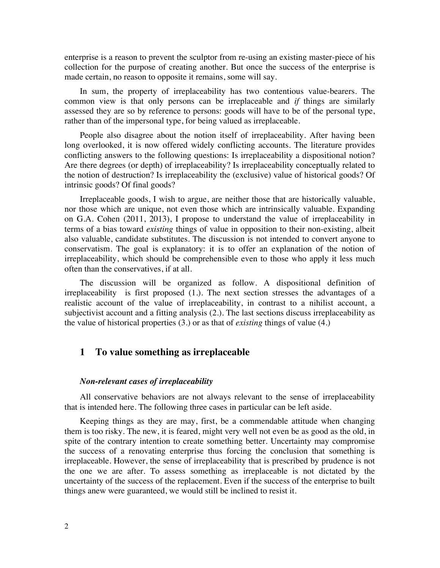enterprise is a reason to prevent the sculptor from re-using an existing master-piece of his collection for the purpose of creating another. But once the success of the enterprise is made certain, no reason to opposite it remains, some will say.

In sum, the property of irreplaceability has two contentious value-bearers. The common view is that only persons can be irreplaceable and *if* things are similarly assessed they are so by reference to persons: goods will have to be of the personal type, rather than of the impersonal type, for being valued as irreplaceable.

People also disagree about the notion itself of irreplaceability. After having been long overlooked, it is now offered widely conflicting accounts. The literature provides conflicting answers to the following questions: Is irreplaceability a dispositional notion? Are there degrees (or depth) of irreplaceability? Is irreplaceability conceptually related to the notion of destruction? Is irreplaceability the (exclusive) value of historical goods? Of intrinsic goods? Of final goods?

Irreplaceable goods, I wish to argue, are neither those that are historically valuable, nor those which are unique, not even those which are intrinsically valuable. Expanding on G.A. Cohen (2011, 2013), I propose to understand the value of irreplaceability in terms of a bias toward *existing* things of value in opposition to their non-existing, albeit also valuable, candidate substitutes. The discussion is not intended to convert anyone to conservatism. The goal is explanatory: it is to offer an explanation of the notion of irreplaceability, which should be comprehensible even to those who apply it less much often than the conservatives, if at all.

The discussion will be organized as follow. A dispositional definition of irreplaceability is first proposed (1.). The next section stresses the advantages of a realistic account of the value of irreplaceability, in contrast to a nihilist account, a subjectivist account and a fitting analysis (2.). The last sections discuss irreplaceability as the value of historical properties (3.) or as that of *existing* things of value (4.)

# **1 To value something as irreplaceable**

#### *Non-relevant cases of irreplaceability*

All conservative behaviors are not always relevant to the sense of irreplaceability that is intended here. The following three cases in particular can be left aside.

Keeping things as they are may, first, be a commendable attitude when changing them is too risky. The new, it is feared, might very well not even be as good as the old, in spite of the contrary intention to create something better. Uncertainty may compromise the success of a renovating enterprise thus forcing the conclusion that something is irreplaceable. However, the sense of irreplaceability that is prescribed by prudence is not the one we are after. To assess something as irreplaceable is not dictated by the uncertainty of the success of the replacement. Even if the success of the enterprise to built things anew were guaranteed, we would still be inclined to resist it.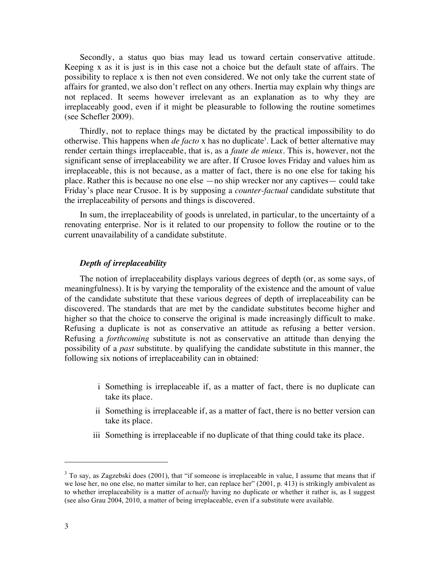Secondly, a status quo bias may lead us toward certain conservative attitude. Keeping x as it is just is in this case not a choice but the default state of affairs. The possibility to replace x is then not even considered. We not only take the current state of affairs for granted, we also don't reflect on any others. Inertia may explain why things are not replaced. It seems however irrelevant as an explanation as to why they are irreplaceably good, even if it might be pleasurable to following the routine sometimes (see Schefler 2009).

Thirdly, not to replace things may be dictated by the practical impossibility to do otherwise. This happens when *de facto* x has no duplicate<sup>3</sup>. Lack of better alternative may render certain things irreplaceable, that is, as a *faute de mieux.* This is, however, not the significant sense of irreplaceability we are after. If Crusoe loves Friday and values him as irreplaceable, this is not because, as a matter of fact, there is no one else for taking his place. Rather this is because no one else —no ship wrecker nor any captives— could take Friday's place near Crusoe. It is by supposing a *counter-factual* candidate substitute that the irreplaceability of persons and things is discovered.

In sum, the irreplaceability of goods is unrelated, in particular, to the uncertainty of a renovating enterprise. Nor is it related to our propensity to follow the routine or to the current unavailability of a candidate substitute.

#### *Depth of irreplaceability*

The notion of irreplaceability displays various degrees of depth (or, as some says, of meaningfulness). It is by varying the temporality of the existence and the amount of value of the candidate substitute that these various degrees of depth of irreplaceability can be discovered. The standards that are met by the candidate substitutes become higher and higher so that the choice to conserve the original is made increasingly difficult to make. Refusing a duplicate is not as conservative an attitude as refusing a better version. Refusing a *forthcoming* substitute is not as conservative an attitude than denying the possibility of a *past* substitute. by qualifying the candidate substitute in this manner, the following six notions of irreplaceability can in obtained:

- i Something is irreplaceable if, as a matter of fact, there is no duplicate can take its place.
- ii Something is irreplaceable if, as a matter of fact, there is no better version can take its place.
- iii Something is irreplaceable if no duplicate of that thing could take its place.

 $\ddot{ }$ 

<sup>&</sup>lt;sup>3</sup> To say, as Zagzebski does (2001), that "if someone is irreplaceable in value, I assume that means that if we lose her, no one else, no matter similar to her, can replace her" (2001, p. 413) is strikingly ambivalent as to whether irreplaceability is a matter of *actually* having no duplicate or whether it rather is, as I suggest (see also Grau 2004, 2010, a matter of being irreplaceable, even if a substitute were available.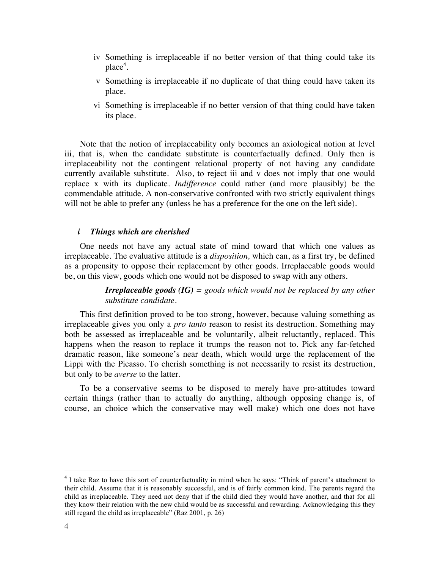- iv Something is irreplaceable if no better version of that thing could take its place<sup>4</sup>.
- v Something is irreplaceable if no duplicate of that thing could have taken its place.
- vi Something is irreplaceable if no better version of that thing could have taken its place.

Note that the notion of irreplaceability only becomes an axiological notion at level iii, that is, when the candidate substitute is counterfactually defined. Only then is irreplaceability not the contingent relational property of not having any candidate currently available substitute. Also, to reject iii and v does not imply that one would replace x with its duplicate. *Indifference* could rather (and more plausibly) be the commendable attitude. A non-conservative confronted with two strictly equivalent things will not be able to prefer any (unless he has a preference for the one on the left side).

#### *i Things which are cherished*

One needs not have any actual state of mind toward that which one values as irreplaceable. The evaluative attitude is a *disposition,* which can, as a first try, be defined as a propensity to oppose their replacement by other goods. Irreplaceable goods would be, on this view, goods which one would not be disposed to swap with any others.

> *Irreplaceable goods (IG) = goods which would not be replaced by any other substitute candidate.*

This first definition proved to be too strong, however, because valuing something as irreplaceable gives you only a *pro tanto* reason to resist its destruction. Something may both be assessed as irreplaceable and be voluntarily, albeit reluctantly, replaced. This happens when the reason to replace it trumps the reason not to. Pick any far-fetched dramatic reason, like someone's near death, which would urge the replacement of the Lippi with the Picasso. To cherish something is not necessarily to resist its destruction, but only to be *averse* to the latter.

To be a conservative seems to be disposed to merely have pro-attitudes toward certain things (rather than to actually do anything, although opposing change is, of course, an choice which the conservative may well make) which one does not have

 $\ddot{ }$ 

<sup>&</sup>lt;sup>4</sup> I take Raz to have this sort of counterfactuality in mind when he says: "Think of parent's attachment to their child. Assume that it is reasonably successful, and is of fairly common kind. The parents regard the child as irreplaceable. They need not deny that if the child died they would have another, and that for all they know their relation with the new child would be as successful and rewarding. Acknowledging this they still regard the child as irreplaceable" (Raz 2001, p. 26)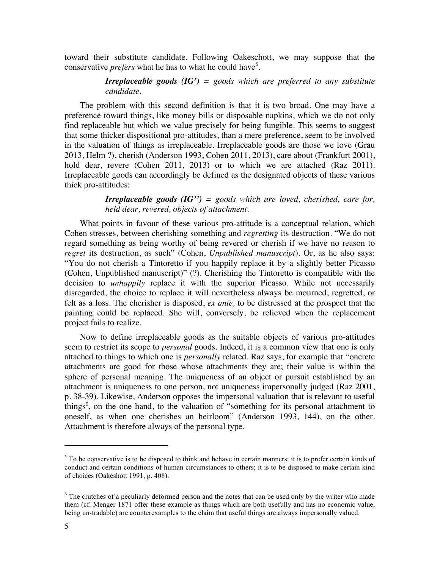toward their substitute candidate. Following Oakeschott, we may suppose that the conservative *prefers* what he has to what he could have*<sup>5</sup>* .

# *Irreplaceable goods (IG') = goods which are preferred to any substitute candidate.*

The problem with this second definition is that it is two broad. One may have a preference toward things, like money bills or disposable napkins, which we do not only find replaceable but which we value precisely for being fungible. This seems to suggest that some thicker dispositional pro-attitudes, than a mere preference, seem to be involved in the valuation of things as irreplaceable. Irreplaceable goods are those we love (Grau 2013, Helm ?), cherish (Anderson 1993, Cohen 2011, 2013), care about (Frankfurt 2001), hold dear, revere (Cohen 2011, 2013) or to which we are attached (Raz 2011). Irreplaceable goods can accordingly be defined as the designated objects of these various thick pro-attitudes:

> *Irreplaceable goods (IG'') = goods which are loved, cherished, care for, held dear, revered, objects of attachment.*

What points in favour of these various pro-attitude is a conceptual relation, which Cohen stresses, between cherishing something and *regretting* its destruction. "We do not regard something as being worthy of being revered or cherish if we have no reason to *regret* its destruction, as such" (Cohen, *Unpublished manuscript*). Or, as he also says: "You do not cherish a Tintoretto if you happily replace it by a slightly better Picasso (Cohen, Unpublished manuscript)" (?). Cherishing the Tintoretto is compatible with the decision to *unhappily* replace it with the superior Picasso. While not necessarily disregarded, the choice to replace it will nevertheless always be mourned, regretted, or felt as a loss. The cherisher is disposed, *ex ante,* to be distressed at the prospect that the painting could be replaced. She will, conversely, be relieved when the replacement project fails to realize.

Now to define irreplaceable goods as the suitable objects of various pro-attitudes seem to restrict its scope to *personal* goods. Indeed, it is a common view that one is only attached to things to which one is *personally* related. Raz says, for example that "oncrete attachments are good for those whose attachments they are; their value is within the sphere of personal meaning. The uniqueness of an object or pursuit established by an attachment is uniqueness to one person, not uniqueness impersonally judged (Raz 2001, p. 38-39). Likewise, Anderson opposes the impersonal valuation that is relevant to useful things<sup>6</sup>, on the one hand, to the valuation of "something for its personal attachment to oneself, as when one cherishes an heirloom" (Anderson 1993, 144), on the other. Attachment is therefore always of the personal type.

 $5$  To be conservative is to be disposed to think and behave in certain manners: it is to prefer certain kinds of conduct and certain conditions of human circumstances to others; it is to be disposed to make certain kind of choices (Oakeshott 1991, p. 408).

 $6$  The crutches of a peculiarly deformed person and the notes that can be used only by the writer who made them (cf. Menger 1871 offer these example as things which are both usefully and has no economic value, being un-tradable) are counterexamples to the claim that useful things are always impersonally valued.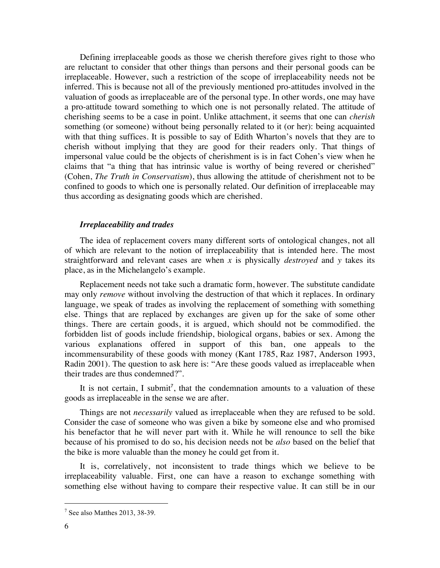Defining irreplaceable goods as those we cherish therefore gives right to those who are reluctant to consider that other things than persons and their personal goods can be irreplaceable. However, such a restriction of the scope of irreplaceability needs not be inferred. This is because not all of the previously mentioned pro-attitudes involved in the valuation of goods as irreplaceable are of the personal type. In other words, one may have a pro-attitude toward something to which one is not personally related. The attitude of cherishing seems to be a case in point. Unlike attachment, it seems that one can *cherish* something (or someone) without being personally related to it (or her): being acquainted with that thing suffices. It is possible to say of Edith Wharton's novels that they are to cherish without implying that they are good for their readers only. That things of impersonal value could be the objects of cherishment is is in fact Cohen's view when he claims that "a thing that has intrinsic value is worthy of being revered or cherished" (Cohen, *The Truth in Conservatism*), thus allowing the attitude of cherishment not to be confined to goods to which one is personally related. Our definition of irreplaceable may thus according as designating goods which are cherished.

#### *Irreplaceability and trades*

The idea of replacement covers many different sorts of ontological changes, not all of which are relevant to the notion of irreplaceability that is intended here. The most straightforward and relevant cases are when *x* is physically *destroyed* and *y* takes its place, as in the Michelangelo's example.

Replacement needs not take such a dramatic form, however. The substitute candidate may only *remove* without involving the destruction of that which it replaces. In ordinary language, we speak of trades as involving the replacement of something with something else. Things that are replaced by exchanges are given up for the sake of some other things. There are certain goods, it is argued, which should not be commodified. the forbidden list of goods include friendship, biological organs, babies or sex. Among the various explanations offered in support of this ban, one appeals to the incommensurability of these goods with money (Kant 1785, Raz 1987, Anderson 1993, Radin 2001). The question to ask here is: "Are these goods valued as irreplaceable when their trades are thus condemned?".

It is not certain, I submit<sup>7</sup>, that the condemnation amounts to a valuation of these goods as irreplaceable in the sense we are after.

Things are not *necessarily* valued as irreplaceable when they are refused to be sold. Consider the case of someone who was given a bike by someone else and who promised his benefactor that he will never part with it. While he will renounce to sell the bike because of his promised to do so, his decision needs not be *also* based on the belief that the bike is more valuable than the money he could get from it.

It is, correlatively, not inconsistent to trade things which we believe to be irreplaceability valuable. First, one can have a reason to exchange something with something else without having to compare their respective value. It can still be in our

1

 $<sup>7</sup>$  See also Matthes 2013, 38-39.</sup>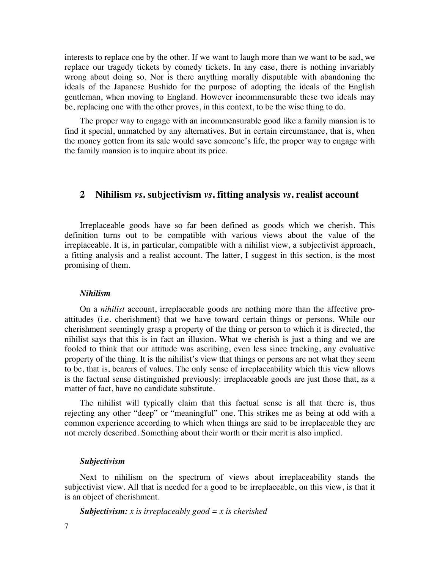interests to replace one by the other. If we want to laugh more than we want to be sad, we replace our tragedy tickets by comedy tickets. In any case, there is nothing invariably wrong about doing so. Nor is there anything morally disputable with abandoning the ideals of the Japanese Bushido for the purpose of adopting the ideals of the English gentleman, when moving to England. However incommensurable these two ideals may be, replacing one with the other proves, in this context, to be the wise thing to do.

The proper way to engage with an incommensurable good like a family mansion is to find it special, unmatched by any alternatives. But in certain circumstance, that is, when the money gotten from its sale would save someone's life, the proper way to engage with the family mansion is to inquire about its price.

# **2 Nihilism** *vs***. subjectivism** *vs***. fitting analysis** *vs***. realist account**

Irreplaceable goods have so far been defined as goods which we cherish. This definition turns out to be compatible with various views about the value of the irreplaceable. It is, in particular, compatible with a nihilist view, a subjectivist approach, a fitting analysis and a realist account. The latter, I suggest in this section, is the most promising of them.

#### *Nihilism*

On a *nihilist* account, irreplaceable goods are nothing more than the affective proattitudes (i.e. cherishment) that we have toward certain things or persons. While our cherishment seemingly grasp a property of the thing or person to which it is directed, the nihilist says that this is in fact an illusion. What we cherish is just a thing and we are fooled to think that our attitude was ascribing, even less since tracking, any evaluative property of the thing. It is the nihilist's view that things or persons are not what they seem to be, that is, bearers of values. The only sense of irreplaceability which this view allows is the factual sense distinguished previously: irreplaceable goods are just those that, as a matter of fact, have no candidate substitute.

The nihilist will typically claim that this factual sense is all that there is, thus rejecting any other "deep" or "meaningful" one. This strikes me as being at odd with a common experience according to which when things are said to be irreplaceable they are not merely described. Something about their worth or their merit is also implied.

## *Subjectivism*

Next to nihilism on the spectrum of views about irreplaceability stands the subjectivist view. All that is needed for a good to be irreplaceable, on this view, is that it is an object of cherishment.

*Subjectivism: x is irreplaceably good = x is cherished*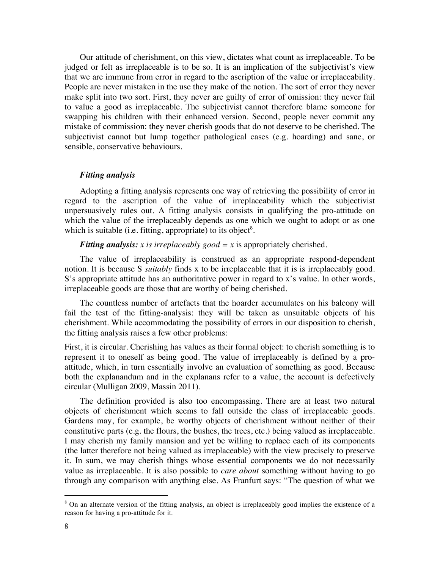Our attitude of cherishment, on this view, dictates what count as irreplaceable. To be judged or felt as irreplaceable is to be so. It is an implication of the subjectivist's view that we are immune from error in regard to the ascription of the value or irreplaceability. People are never mistaken in the use they make of the notion. The sort of error they never make split into two sort. First, they never are guilty of error of omission: they never fail to value a good as irreplaceable. The subjectivist cannot therefore blame someone for swapping his children with their enhanced version. Second, people never commit any mistake of commission: they never cherish goods that do not deserve to be cherished. The subjectivist cannot but lump together pathological cases (e.g. hoarding) and sane, or sensible, conservative behaviours.

## *Fitting analysis*

Adopting a fitting analysis represents one way of retrieving the possibility of error in regard to the ascription of the value of irreplaceability which the subjectivist unpersuasively rules out. A fitting analysis consists in qualifying the pro-attitude on which the value of the irreplaceably depends as one which we ought to adopt or as one which is suitable (i.e. fitting, appropriate) to its object<sup>8</sup>.

*Fitting analysis: x is irreplaceably good = x* is appropriately cherished.

The value of irreplaceability is construed as an appropriate respond-dependent notion. It is because S *suitably* finds x to be irreplaceable that it is is irreplaceably good. S's appropriate attitude has an authoritative power in regard to x's value. In other words, irreplaceable goods are those that are worthy of being cherished.

The countless number of artefacts that the hoarder accumulates on his balcony will fail the test of the fitting-analysis: they will be taken as unsuitable objects of his cherishment. While accommodating the possibility of errors in our disposition to cherish, the fitting analysis raises a few other problems:

First, it is circular. Cherishing has values as their formal object: to cherish something is to represent it to oneself as being good. The value of irreplaceably is defined by a proattitude, which, in turn essentially involve an evaluation of something as good. Because both the explanandum and in the explanans refer to a value, the account is defectively circular (Mulligan 2009, Massin 2011).

The definition provided is also too encompassing. There are at least two natural objects of cherishment which seems to fall outside the class of irreplaceable goods. Gardens may, for example, be worthy objects of cherishment without neither of their constitutive parts (e.g. the flours, the bushes, the trees, etc.) being valued as irreplaceable. I may cherish my family mansion and yet be willing to replace each of its components (the latter therefore not being valued as irreplaceable) with the view precisely to preserve it. In sum, we may cherish things whose essential components we do not necessarily value as irreplaceable. It is also possible to *care about* something without having to go through any comparison with anything else. As Franfurt says: "The question of what we

<sup>&</sup>lt;sup>8</sup> On an alternate version of the fitting analysis, an object is irreplaceably good implies the existence of a reason for having a pro-attitude for it.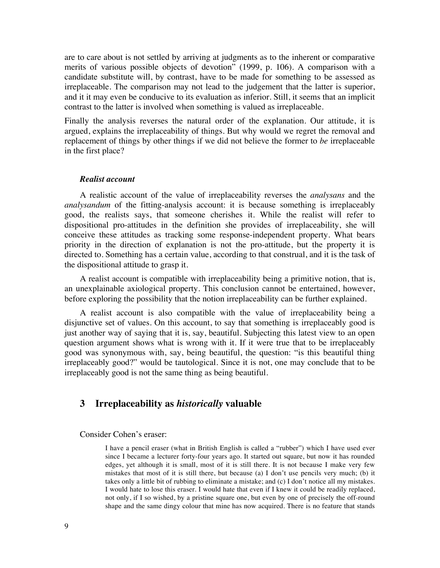are to care about is not settled by arriving at judgments as to the inherent or comparative merits of various possible objects of devotion" (1999, p. 106). A comparison with a candidate substitute will, by contrast, have to be made for something to be assessed as irreplaceable. The comparison may not lead to the judgement that the latter is superior, and it it may even be conducive to its evaluation as inferior. Still, it seems that an implicit contrast to the latter is involved when something is valued as irreplaceable.

Finally the analysis reverses the natural order of the explanation. Our attitude, it is argued, explains the irreplaceability of things. But why would we regret the removal and replacement of things by other things if we did not believe the former to *be* irreplaceable in the first place?

# *Realist account*

A realistic account of the value of irreplaceability reverses the *analysans* and the *analysandum* of the fitting-analysis account: it is because something is irreplaceably good, the realists says, that someone cherishes it. While the realist will refer to dispositional pro-attitudes in the definition she provides of irreplaceability, she will conceive these attitudes as tracking some response-independent property. What bears priority in the direction of explanation is not the pro-attitude, but the property it is directed to. Something has a certain value, according to that construal, and it is the task of the dispositional attitude to grasp it.

A realist account is compatible with irreplaceability being a primitive notion, that is, an unexplainable axiological property. This conclusion cannot be entertained, however, before exploring the possibility that the notion irreplaceability can be further explained.

A realist account is also compatible with the value of irreplaceability being a disjunctive set of values. On this account, to say that something is irreplaceably good is just another way of saying that it is, say, beautiful. Subjecting this latest view to an open question argument shows what is wrong with it. If it were true that to be irreplaceably good was synonymous with, say, being beautiful, the question: "is this beautiful thing irreplaceably good?" would be tautological. Since it is not, one may conclude that to be irreplaceably good is not the same thing as being beautiful.

# **3 Irreplaceability as** *historically* **valuable**

#### Consider Cohen's eraser:

I have a pencil eraser (what in British English is called a "rubber") which I have used ever since I became a lecturer forty-four years ago. It started out square, but now it has rounded edges, yet although it is small, most of it is still there. It is not because I make very few mistakes that most of it is still there, but because (a) I don't use pencils very much; (b) it takes only a little bit of rubbing to eliminate a mistake; and (c) I don't notice all my mistakes. I would hate to lose this eraser. I would hate that even if I knew it could be readily replaced, not only, if I so wished, by a pristine square one, but even by one of precisely the off-round shape and the same dingy colour that mine has now acquired. There is no feature that stands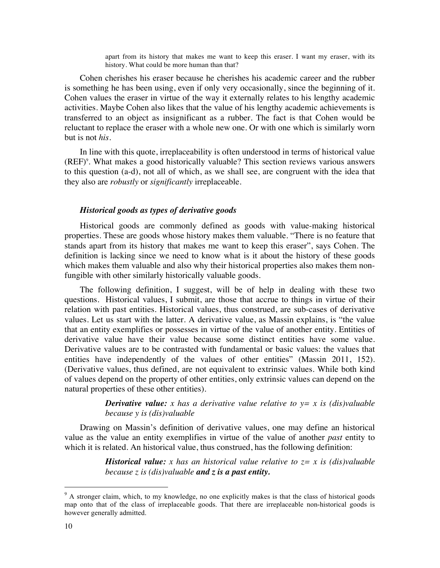apart from its history that makes me want to keep this eraser. I want my eraser, with its history. What could be more human than that?

Cohen cherishes his eraser because he cherishes his academic career and the rubber is something he has been using, even if only very occasionally, since the beginning of it. Cohen values the eraser in virtue of the way it externally relates to his lengthy academic activities. Maybe Cohen also likes that the value of his lengthy academic achievements is transferred to an object as insignificant as a rubber. The fact is that Cohen would be reluctant to replace the eraser with a whole new one. Or with one which is similarly worn but is not *his*.

In line with this quote, irreplaceability is often understood in terms of historical value (REF) 9 . What makes a good historically valuable? This section reviews various answers to this question (a-d), not all of which, as we shall see, are congruent with the idea that they also are *robustly* or *significantly* irreplaceable.

## *Historical goods as types of derivative goods*

Historical goods are commonly defined as goods with value-making historical properties. These are goods whose history makes them valuable. "There is no feature that stands apart from its history that makes me want to keep this eraser", says Cohen. The definition is lacking since we need to know what is it about the history of these goods which makes them valuable and also why their historical properties also makes them nonfungible with other similarly historically valuable goods.

The following definition, I suggest, will be of help in dealing with these two questions. Historical values, I submit, are those that accrue to things in virtue of their relation with past entities. Historical values, thus construed, are sub-cases of derivative values. Let us start with the latter. A derivative value, as Massin explains, is "the value that an entity exemplifies or possesses in virtue of the value of another entity. Entities of derivative value have their value because some distinct entities have some value. Derivative values are to be contrasted with fundamental or basic values: the values that entities have independently of the values of other entities" (Massin 2011, 152). (Derivative values, thus defined, are not equivalent to extrinsic values. While both kind of values depend on the property of other entities, only extrinsic values can depend on the natural properties of these other entities).

> *Derivative value: x has a derivative value relative to y = x is (dis)valuable because y is (dis)valuable*

Drawing on Massin's definition of derivative values, one may define an historical value as the value an entity exemplifies in virtue of the value of another *past* entity to which it is related. An historical value, thus construed, has the following definition:

> *Historical value: x has an historical value relative to z= x is (dis)valuable because z is (dis)valuable and z is a past entity.*

<sup>&</sup>lt;sup>9</sup> A stronger claim, which, to my knowledge, no one explicitly makes is that the class of historical goods map onto that of the class of irreplaceable goods. That there are irreplaceable non-historical goods is however generally admitted.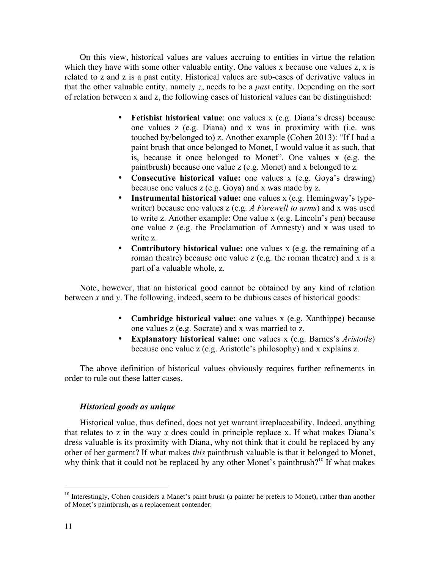On this view, historical values are values accruing to entities in virtue the relation which they have with some other valuable entity. One values x because one values z, x is related to z and z is a past entity. Historical values are sub-cases of derivative values in that the other valuable entity, namely *z*, needs to be a *past* entity. Depending on the sort of relation between x and z, the following cases of historical values can be distinguished:

- **Fetishist historical value**: one values x (e.g. Diana's dress) because one values z (e.g. Diana) and x was in proximity with (i.e. was touched by/belonged to) z. Another example (Cohen 2013): "If I had a paint brush that once belonged to Monet, I would value it as such, that is, because it once belonged to Monet". One values x (e.g. the paintbrush) because one value z (e.g. Monet) and x belonged to z.
- **Consecutive historical value:** one values x (e.g. Goya's drawing) because one values z (e.g. Goya) and x was made by z.
- **Instrumental historical value:** one values x (e.g. Hemingway's typewriter) because one values z (e.g. *A Farewell to arms*) and x was used to write z. Another example: One value x (e.g. Lincoln's pen) because one value z (e.g. the Proclamation of Amnesty) and x was used to write z.
- **Contributory historical value:** one values x (e.g. the remaining of a roman theatre) because one value z (e.g. the roman theatre) and x is a part of a valuable whole, z.

Note, however, that an historical good cannot be obtained by any kind of relation between *x* and *y.* The following, indeed, seem to be dubious cases of historical goods:

- **Cambridge historical value:** one values x (e.g. Xanthippe) because one values z (e.g. Socrate) and x was married to z.
- **Explanatory historical value:** one values x (e.g. Barnes's *Aristotle*) because one value z (e.g. Aristotle's philosophy) and x explains z.

The above definition of historical values obviously requires further refinements in order to rule out these latter cases.

# *Historical goods as unique*

Historical value, thus defined, does not yet warrant irreplaceability. Indeed, anything that relates to z in the way *x* does could in principle replace x. If what makes Diana's dress valuable is its proximity with Diana, why not think that it could be replaced by any other of her garment? If what makes *this* paintbrush valuable is that it belonged to Monet, why think that it could not be replaced by any other Monet's paintbrush?<sup>10</sup> If what makes

<sup>&</sup>lt;sup>10</sup> Interestingly, Cohen considers a Manet's paint brush (a painter he prefers to Monet), rather than another of Monet's paintbrush, as a replacement contender: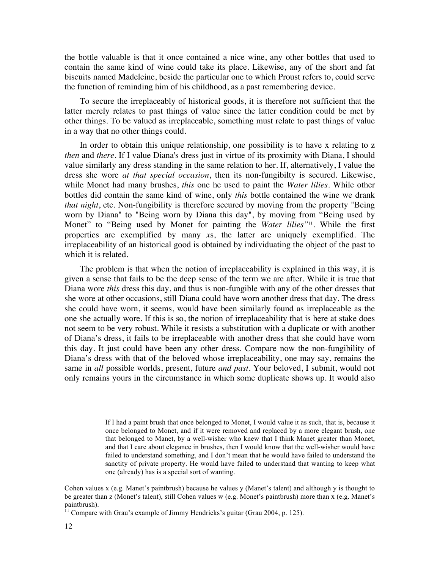the bottle valuable is that it once contained a nice wine, any other bottles that used to contain the same kind of wine could take its place. Likewise, any of the short and fat biscuits named Madeleine, beside the particular one to which Proust refers to, could serve the function of reminding him of his childhood, as a past remembering device.

To secure the irreplaceably of historical goods, it is therefore not sufficient that the latter merely relates to past things of value since the latter condition could be met by other things. To be valued as irreplaceable, something must relate to past things of value in a way that no other things could.

In order to obtain this unique relationship, one possibility is to have x relating to z *then* and *there*. If I value Diana's dress just in virtue of its proximity with Diana, I should value similarly any dress standing in the same relation to her. If, alternatively, I value the dress she wore *at that special occasion*, then its non-fungibilty is secured. Likewise, while Monet had many brushes, *this* one he used to paint the *Water lilies*. While other bottles did contain the same kind of wine, only *this* bottle contained the wine we drank *that night*, etc. Non-fungibility is therefore secured by moving from the property "Being worn by Diana" to "Being worn by Diana this day", by moving from "Being used by Monet" to "Being used by Monet for painting the *Water lilies"*11*.* While the first properties are exemplified by many *x*s, the latter are uniquely exemplified. The irreplaceability of an historical good is obtained by individuating the object of the past to which it is related.

The problem is that when the notion of irreplaceability is explained in this way, it is given a sense that fails to be the deep sense of the term we are after. While it is true that Diana wore *this* dress this day, and thus is non-fungible with any of the other dresses that she wore at other occasions, still Diana could have worn another dress that day. The dress she could have worn, it seems, would have been similarly found as irreplaceable as the one she actually wore. If this is so, the notion of irreplaceability that is here at stake does not seem to be very robust. While it resists a substitution with a duplicate or with another of Diana's dress, it fails to be irreplaceable with another dress that she could have worn this day. It just could have been any other dress. Compare now the non-fungibility of Diana's dress with that of the beloved whose irreplaceability, one may say, remains the same in *all* possible worlds, present, future *and past*. Your beloved, I submit, would not only remains yours in the circumstance in which some duplicate shows up. It would also

-

If I had a paint brush that once belonged to Monet, I would value it as such, that is, because it once belonged to Monet, and if it were removed and replaced by a more elegant brush, one that belonged to Manet, by a well-wisher who knew that I think Manet greater than Monet, and that I care about elegance in brushes, then I would know that the well-wisher would have failed to understand something, and I don't mean that he would have failed to understand the sanctity of private property. He would have failed to understand that wanting to keep what one (already) has is a special sort of wanting.

Cohen values x (e.g. Manet's paintbrush) because he values y (Manet's talent) and although y is thought to be greater than z (Monet's talent), still Cohen values w (e.g. Monet's paintbrush) more than x (e.g. Manet's paintbrush).

 $11$  Compare with Grau's example of Jimmy Hendricks's guitar (Grau 2004, p. 125).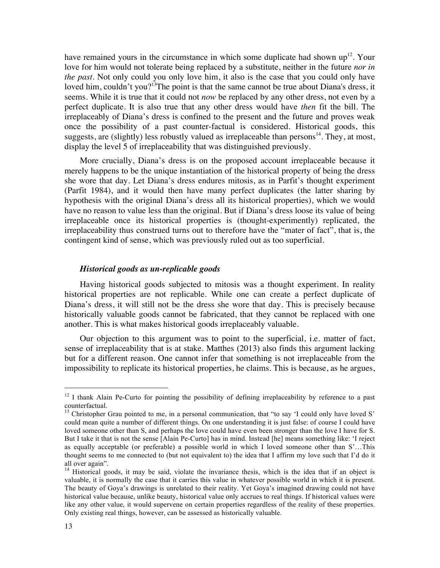have remained yours in the circumstance in which some duplicate had shown  $up^{12}$ . Your love for him would not tolerate being replaced by a substitute, neither in the future *nor in the past.* Not only could you only love him, it also is the case that you could only have loved him, couldn't you?<sup>13</sup>The point is that the same cannot be true about Diana's dress, it seems. While it is true that it could not *now* be replaced by any other dress, not even by a perfect duplicate. It is also true that any other dress would have *then* fit the bill. The irreplaceably of Diana's dress is confined to the present and the future and proves weak once the possibility of a past counter-factual is considered. Historical goods, this suggests, are (slightly) less robustly valued as irreplaceable than persons $^{14}$ . They, at most, display the level 5 of irreplaceability that was distinguished previously.

More crucially, Diana's dress is on the proposed account irreplaceable because it merely happens to be the unique instantiation of the historical property of being the dress she wore that day. Let Diana's dress endures mitosis, as in Parfit's thought experiment (Parfit 1984), and it would then have many perfect duplicates (the latter sharing by hypothesis with the original Diana's dress all its historical properties), which we would have no reason to value less than the original. But if Diana's dress loose its value of being irreplaceable once its historical properties is (thought-experimently) replicated, the irreplaceability thus construed turns out to therefore have the "mater of fact", that is, the contingent kind of sense, which was previously ruled out as too superficial.

## *Historical goods as un-replicable goods*

Having historical goods subjected to mitosis was a thought experiment. In reality historical properties are not replicable. While one can create a perfect duplicate of Diana's dress, it will still not be the dress she wore that day. This is precisely because historically valuable goods cannot be fabricated, that they cannot be replaced with one another. This is what makes historical goods irreplaceably valuable.

Our objection to this argument was to point to the superficial, i.e. matter of fact, sense of irreplaceability that is at stake. Matthes (2013) also finds this argument lacking but for a different reason. One cannot infer that something is not irreplaceable from the impossibility to replicate its historical properties, he claims. This is because, as he argues,

 $12$  I thank Alain Pe-Curto for pointing the possibility of defining irreplaceability by reference to a past counterfactual.

 $13$  Christopher Grau pointed to me, in a personal communication, that "to say 'I could only have loved S' could mean quite a number of different things. On one understanding it is just false: of course I could have loved someone other than S, and perhaps the love could have even been stronger than the love I have for S. But I take it that is not the sense [Alain Pe-Curto] has in mind. Instead [he] means something like: 'I reject as equally acceptable (or preferable) a possible world in which I loved someone other than S'…This thought seems to me connected to (but not equivalent to) the idea that I affirm my love such that I'd do it all over again".

<sup>&</sup>lt;sup>14</sup> Historical goods, it may be said, violate the invariance thesis, which is the idea that if an object is valuable, it is normally the case that it carries this value in whatever possible world in which it is present. The beauty of Goya's drawings is unrelated to their reality. Yet Goya's imagined drawing could not have historical value because, unlike beauty, historical value only accrues to real things. If historical values were like any other value, it would supervene on certain properties regardless of the reality of these properties. Only existing real things, however, can be assessed as historically valuable.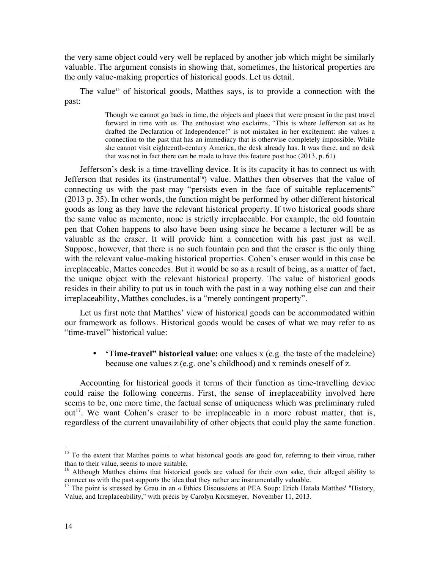the very same object could very well be replaced by another job which might be similarly valuable. The argument consists in showing that, sometimes, the historical properties are the only value-making properties of historical goods. Let us detail.

The value<sup>15</sup> of historical goods, Matthes says, is to provide a connection with the past:

> Though we cannot go back in time, the objects and places that were present in the past travel forward in time with us. The enthusiast who exclaims, "This is where Jefferson sat as he drafted the Declaration of Independence!" is not mistaken in her excitement: she values a connection to the past that has an immediacy that is otherwise completely impossible. While she cannot visit eighteenth-century America, the desk already has. It was there, and no desk that was not in fact there can be made to have this feature post hoc (2013, p. 61)

Jefferson's desk is a time-travelling device. It is its capacity it has to connect us with Jefferson that resides its (instrumental<sup>16</sup>) value. Matthes then observes that the value of connecting us with the past may "persists even in the face of suitable replacements" (2013 p. 35). In other words, the function might be performed by other different historical goods as long as they have the relevant historical property. If two historical goods share the same value as memento, none is strictly irreplaceable. For example, the old fountain pen that Cohen happens to also have been using since he became a lecturer will be as valuable as the eraser. It will provide him a connection with his past just as well. Suppose, however, that there is no such fountain pen and that the eraser is the only thing with the relevant value-making historical properties. Cohen's eraser would in this case be irreplaceable, Mattes concedes. But it would be so as a result of being, as a matter of fact, the unique object with the relevant historical property. The value of historical goods resides in their ability to put us in touch with the past in a way nothing else can and their irreplaceability, Matthes concludes, is a "merely contingent property".

Let us first note that Matthes' view of historical goods can be accommodated within our framework as follows. Historical goods would be cases of what we may refer to as "time-travel" historical value:

• **'Time-travel" historical value:** one values x (e.g. the taste of the madeleine) because one values z (e.g. one's childhood) and x reminds oneself of z.

Accounting for historical goods it terms of their function as time-travelling device could raise the following concerns. First, the sense of irreplaceability involved here seems to be, one more time, the factual sense of uniqueness which was preliminary ruled  $out<sup>17</sup>$ . We want Cohen's eraser to be irreplaceable in a more robust matter, that is, regardless of the current unavailability of other objects that could play the same function.

<sup>&</sup>lt;sup>15</sup> To the extent that Matthes points to what historical goods are good for, referring to their virtue, rather than to their value, seems to more suitable.

<sup>&</sup>lt;sup>16</sup> Although Matthes claims that historical goods are valued for their own sake, their alleged ability to connect us with the past supports the idea that they rather are instrumentally valuable.

<sup>&</sup>lt;sup>17</sup> The point is stressed by Grau in an « Ethics Discussions at PEA Soup: Erich Hatala Matthes' "History, Value, and Irreplaceability," with précis by Carolyn Korsmeyer, November 11, 2013.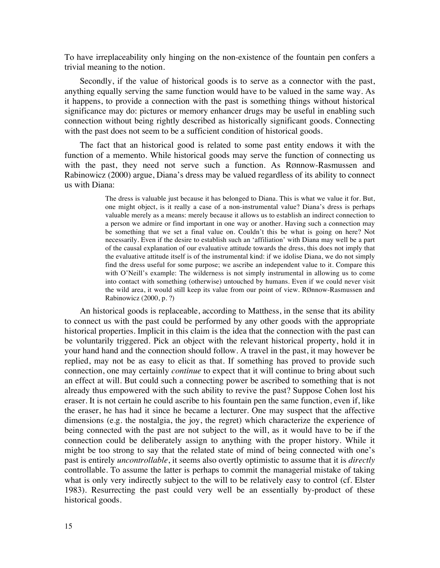To have irreplaceability only hinging on the non-existence of the fountain pen confers a trivial meaning to the notion.

Secondly, if the value of historical goods is to serve as a connector with the past, anything equally serving the same function would have to be valued in the same way. As it happens, to provide a connection with the past is something things without historical significance may do: pictures or memory enhancer drugs may be useful in enabling such connection without being rightly described as historically significant goods. Connecting with the past does not seem to be a sufficient condition of historical goods.

The fact that an historical good is related to some past entity endows it with the function of a memento. While historical goods may serve the function of connecting us with the past, they need not serve such a function. As RØnnow-Rasmussen and Rabinowicz (2000) argue, Diana's dress may be valued regardless of its ability to connect us with Diana:

> The dress is valuable just because it has belonged to Diana. This is what we value it for. But, one might object, is it really a case of a non-instrumental value? Diana's dress is perhaps valuable merely as a means: merely because it allows us to establish an indirect connection to a person we admire or find important in one way or another. Having such a connection may be something that we set a final value on. Couldn't this be what is going on here? Not necessarily. Even if the desire to establish such an 'affiliation' with Diana may well be a part of the causal explanation of our evaluative attitude towards the dress, this does not imply that the evaluative attitude itself is of the instrumental kind: if we idolise Diana, we do not simply find the dress useful for some purpose; we ascribe an independent value to it. Compare this with O'Neill's example: The wilderness is not simply instrumental in allowing us to come into contact with something (otherwise) untouched by humans. Even if we could never visit the wild area, it would still keep its value from our point of view. RØnnow-Rasmussen and Rabinowicz (2000, p. ?)

An historical goods is replaceable, according to Matthess, in the sense that its ability to connect us with the past could be performed by any other goods with the appropriate historical properties. Implicit in this claim is the idea that the connection with the past can be voluntarily triggered. Pick an object with the relevant historical property, hold it in your hand hand and the connection should follow. A travel in the past, it may however be replied, may not be as easy to elicit as that. If something has proved to provide such connection, one may certainly *continue* to expect that it will continue to bring about such an effect at will. But could such a connecting power be ascribed to something that is not already thus empowered with the such ability to revive the past? Suppose Cohen lost his eraser. It is not certain he could ascribe to his fountain pen the same function, even if, like the eraser, he has had it since he became a lecturer. One may suspect that the affective dimensions (e.g. the nostalgia, the joy, the regret) which characterize the experience of being connected with the past are not subject to the will, as it would have to be if the connection could be deliberately assign to anything with the proper history. While it might be too strong to say that the related state of mind of being connected with one's past is entirely *uncontrollable*, it seems also overtly optimistic to assume that it is *directly* controllable. To assume the latter is perhaps to commit the managerial mistake of taking what is only very indirectly subject to the will to be relatively easy to control (cf. Elster 1983). Resurrecting the past could very well be an essentially by-product of these historical goods.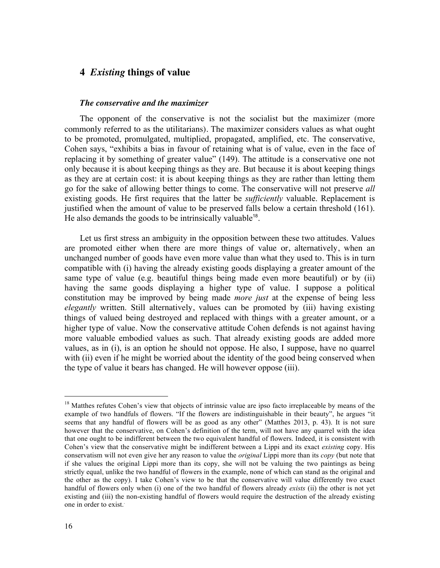# **4** *Existing* **things of value**

## *The conservative and the maximizer*

The opponent of the conservative is not the socialist but the maximizer (more commonly referred to as the utilitarians). The maximizer considers values as what ought to be promoted, promulgated, multiplied, propagated, amplified, etc. The conservative, Cohen says, "exhibits a bias in favour of retaining what is of value, even in the face of replacing it by something of greater value" (149). The attitude is a conservative one not only because it is about keeping things as they are. But because it is about keeping things as they are at certain cost: it is about keeping things as they are rather than letting them go for the sake of allowing better things to come. The conservative will not preserve *all* existing goods. He first requires that the latter be *sufficiently* valuable. Replacement is justified when the amount of value to be preserved falls below a certain threshold (161). He also demands the goods to be intrinsically valuable<sup>18</sup>.

Let us first stress an ambiguity in the opposition between these two attitudes. Values are promoted either when there are more things of value or, alternatively, when an unchanged number of goods have even more value than what they used to. This is in turn compatible with (i) having the already existing goods displaying a greater amount of the same type of value (e.g. beautiful things being made even more beautiful) or by (ii) having the same goods displaying a higher type of value. I suppose a political constitution may be improved by being made *more just* at the expense of being less *elegantly* written. Still alternatively, values can be promoted by (iii) having existing things of valued being destroyed and replaced with things with a greater amount, or a higher type of value. Now the conservative attitude Cohen defends is not against having more valuable embodied values as such. That already existing goods are added more values, as in (i), is an option he should not oppose. He also, I suppose, have no quarrel with (ii) even if he might be worried about the identity of the good being conserved when the type of value it bears has changed. He will however oppose (iii).

<sup>&</sup>lt;sup>18</sup> Matthes refutes Cohen's view that objects of intrinsic value are ipso facto irreplaceable by means of the example of two handfuls of flowers. "If the flowers are indistinguishable in their beauty", he argues "it seems that any handful of flowers will be as good as any other" (Matthes 2013, p. 43). It is not sure however that the conservative, on Cohen's definition of the term, will not have any quarrel with the idea that one ought to be indifferent between the two equivalent handful of flowers. Indeed, it is consistent with Cohen's view that the conservative might be indifferent between a Lippi and its exact *existing* copy. His conservatism will not even give her any reason to value the *original* Lippi more than its *copy* (but note that if she values the original Lippi more than its copy, she will not be valuing the two paintings as being strictly equal, unlike the two handful of flowers in the example, none of which can stand as the original and the other as the copy). I take Cohen's view to be that the conservative will value differently two exact handful of flowers only when (i) one of the two handful of flowers already *exists* (ii) the other is not yet existing and (iii) the non-existing handful of flowers would require the destruction of the already existing one in order to exist..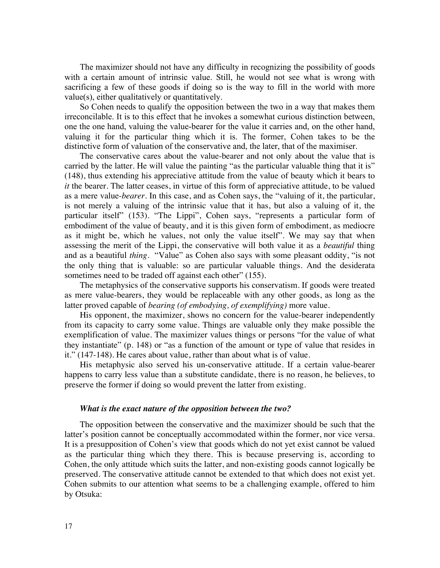The maximizer should not have any difficulty in recognizing the possibility of goods with a certain amount of intrinsic value. Still, he would not see what is wrong with sacrificing a few of these goods if doing so is the way to fill in the world with more value(s), either qualitatively or quantitatively.

So Cohen needs to qualify the opposition between the two in a way that makes them irreconcilable. It is to this effect that he invokes a somewhat curious distinction between, one the one hand, valuing the value-bearer for the value it carries and, on the other hand, valuing it for the particular thing which it is. The former, Cohen takes to be the distinctive form of valuation of the conservative and, the later, that of the maximiser.

The conservative cares about the value-bearer and not only about the value that is carried by the latter. He will value the painting "as the particular valuable thing that it is" (148), thus extending his appreciative attitude from the value of beauty which it bears to *it* the bearer. The latter ceases, in virtue of this form of appreciative attitude, to be valued as a mere value-*bearer*. In this case, and as Cohen says, the "valuing of it, the particular, is not merely a valuing of the intrinsic value that it has, but also a valuing of it, the particular itself" (153). "The Lippi", Cohen says, "represents a particular form of embodiment of the value of beauty, and it is this given form of embodiment, as mediocre as it might be, which he values, not only the value itself". We may say that when assessing the merit of the Lippi, the conservative will both value it as a *beautiful* thing and as a beautiful *thing*. "Value" as Cohen also says with some pleasant oddity, "is not the only thing that is valuable: so are particular valuable things. And the desiderata sometimes need to be traded off against each other" (155).

The metaphysics of the conservative supports his conservatism. If goods were treated as mere value-bearers, they would be replaceable with any other goods, as long as the latter proved capable of *bearing (of embodying, of exemplifying)* more value.

His opponent, the maximizer, shows no concern for the value-bearer independently from its capacity to carry some value. Things are valuable only they make possible the exemplification of value. The maximizer values things or persons "for the value of what they instantiate" (p. 148) or "as a function of the amount or type of value that resides in it." (147-148). He cares about value, rather than about what is of value.

His metaphysic also served his un-conservative attitude. If a certain value-bearer happens to carry less value than a substitute candidate, there is no reason, he believes, to preserve the former if doing so would prevent the latter from existing.

#### *What is the exact nature of the opposition between the two?*

The opposition between the conservative and the maximizer should be such that the latter's position cannot be conceptually accommodated within the former, nor vice versa. It is a presupposition of Cohen's view that goods which do not yet exist cannot be valued as the particular thing which they there. This is because preserving is, according to Cohen, the only attitude which suits the latter, and non-existing goods cannot logically be preserved. The conservative attitude cannot be extended to that which does not exist yet. Cohen submits to our attention what seems to be a challenging example, offered to him by Otsuka: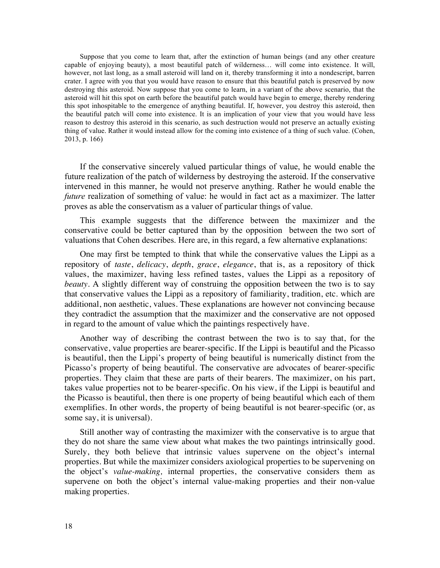Suppose that you come to learn that, after the extinction of human beings (and any other creature capable of enjoying beauty), a most beautiful patch of wilderness… will come into existence. It will, however, not last long, as a small asteroid will land on it, thereby transforming it into a nondescript, barren crater. I agree with you that you would have reason to ensure that this beautiful patch is preserved by now destroying this asteroid. Now suppose that you come to learn, in a variant of the above scenario, that the asteroid will hit this spot on earth before the beautiful patch would have begin to emerge, thereby rendering this spot inhospitable to the emergence of anything beautiful. If, however, you destroy this asteroid, then the beautiful patch will come into existence. It is an implication of your view that you would have less reason to destroy this asteroid in this scenario, as such destruction would not preserve an actually existing thing of value. Rather it would instead allow for the coming into existence of a thing of such value. (Cohen, 2013, p. 166)

If the conservative sincerely valued particular things of value, he would enable the future realization of the patch of wilderness by destroying the asteroid. If the conservative intervened in this manner, he would not preserve anything. Rather he would enable the *future* realization of something of value: he would in fact act as a maximizer. The latter proves as able the conservatism as a valuer of particular things of value.

This example suggests that the difference between the maximizer and the conservative could be better captured than by the opposition between the two sort of valuations that Cohen describes. Here are, in this regard, a few alternative explanations:

One may first be tempted to think that while the conservative values the Lippi as a repository of *taste*, *delicacy*, *depth*, *grace*, *elegance*, that is, as a repository of thick values, the maximizer, having less refined tastes, values the Lippi as a repository of *beauty*. A slightly different way of construing the opposition between the two is to say that conservative values the Lippi as a repository of familiarity, tradition, etc. which are additional, non aesthetic, values. These explanations are however not convincing because they contradict the assumption that the maximizer and the conservative are not opposed in regard to the amount of value which the paintings respectively have.

Another way of describing the contrast between the two is to say that, for the conservative, value properties are bearer-specific. If the Lippi is beautiful and the Picasso is beautiful, then the Lippi's property of being beautiful is numerically distinct from the Picasso's property of being beautiful. The conservative are advocates of bearer-specific properties. They claim that these are parts of their bearers. The maximizer, on his part, takes value properties not to be bearer-specific. On his view, if the Lippi is beautiful and the Picasso is beautiful, then there is one property of being beautiful which each of them exemplifies. In other words, the property of being beautiful is not bearer-specific (or, as some say, it is universal).

Still another way of contrasting the maximizer with the conservative is to argue that they do not share the same view about what makes the two paintings intrinsically good. Surely, they both believe that intrinsic values supervene on the object's internal properties. But while the maximizer considers axiological properties to be supervening on the object's *value-making,* internal properties, the conservative considers them as supervene on both the object's internal value-making properties and their non-value making properties.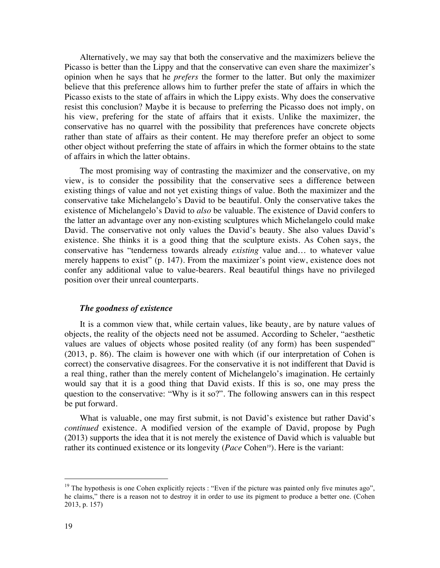Alternatively, we may say that both the conservative and the maximizers believe the Picasso is better than the Lippy and that the conservative can even share the maximizer's opinion when he says that he *prefers* the former to the latter. But only the maximizer believe that this preference allows him to further prefer the state of affairs in which the Picasso exists to the state of affairs in which the Lippy exists. Why does the conservative resist this conclusion? Maybe it is because to preferring the Picasso does not imply, on his view, prefering for the state of affairs that it exists. Unlike the maximizer, the conservative has no quarrel with the possibility that preferences have concrete objects rather than state of affairs as their content. He may therefore prefer an object to some other object without preferring the state of affairs in which the former obtains to the state of affairs in which the latter obtains.

The most promising way of contrasting the maximizer and the conservative, on my view, is to consider the possibility that the conservative sees a difference between existing things of value and not yet existing things of value. Both the maximizer and the conservative take Michelangelo's David to be beautiful. Only the conservative takes the existence of Michelangelo's David to *also* be valuable. The existence of David confers to the latter an advantage over any non-existing sculptures which Michelangelo could make David. The conservative not only values the David's beauty. She also values David's existence. She thinks it is a good thing that the sculpture exists. As Cohen says, the conservative has "tenderness towards already *existing* value and… to whatever value merely happens to exist" (p. 147). From the maximizer's point view, existence does not confer any additional value to value-bearers. Real beautiful things have no privileged position over their unreal counterparts.

## *The goodness of existence*

It is a common view that, while certain values, like beauty, are by nature values of objects, the reality of the objects need not be assumed. According to Scheler, "aesthetic values are values of objects whose posited reality (of any form) has been suspended" (2013, p. 86). The claim is however one with which (if our interpretation of Cohen is correct) the conservative disagrees. For the conservative it is not indifferent that David is a real thing, rather than the merely content of Michelangelo's imagination. He certainly would say that it is a good thing that David exists. If this is so, one may press the question to the conservative: "Why is it so?". The following answers can in this respect be put forward.

What is valuable, one may first submit, is not David's existence but rather David's *continued* existence. A modified version of the example of David, propose by Pugh (2013) supports the idea that it is not merely the existence of David which is valuable but rather its continued existence or its longevity (*Pace* Cohen<sup>19</sup>). Here is the variant:

 $\ddot{ }$ 

<sup>&</sup>lt;sup>19</sup> The hypothesis is one Cohen explicitly rejects : "Even if the picture was painted only five minutes ago", he claims," there is a reason not to destroy it in order to use its pigment to produce a better one. (Cohen 2013, p. 157)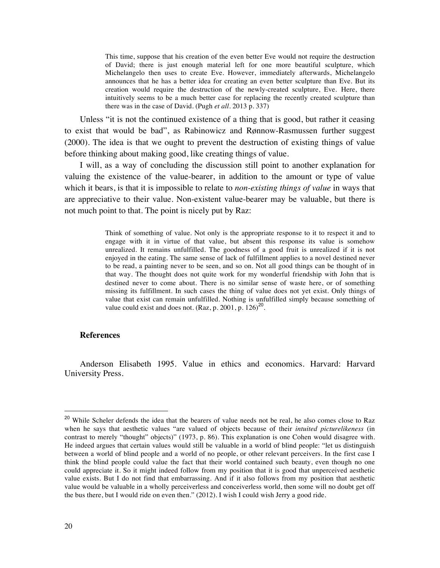This time, suppose that his creation of the even better Eve would not require the destruction of David; there is just enough material left for one more beautiful sculpture, which Michelangelo then uses to create Eve. However, immediately afterwards, Michelangelo announces that he has a better idea for creating an even better sculpture than Eve. But its creation would require the destruction of the newly-created sculpture, Eve. Here, there intuitively seems to be a much better case for replacing the recently created sculpture than there was in the case of David. (Pugh *et all.* 2013 p. 337)

Unless "it is not the continued existence of a thing that is good, but rather it ceasing to exist that would be bad", as Rabinowicz and Rønnow-Rasmussen further suggest (2000). The idea is that we ought to prevent the destruction of existing things of value before thinking about making good, like creating things of value.

I will, as a way of concluding the discussion still point to another explanation for valuing the existence of the value-bearer, in addition to the amount or type of value which it bears, is that it is impossible to relate to *non-existing things of value* in ways that are appreciative to their value. Non-existent value-bearer may be valuable, but there is not much point to that. The point is nicely put by Raz:

> Think of something of value. Not only is the appropriate response to it to respect it and to engage with it in virtue of that value, but absent this response its value is somehow unrealized. It remains unfulfilled. The goodness of a good fruit is unrealized if it is not enjoyed in the eating. The same sense of lack of fulfillment applies to a novel destined never to be read, a painting never to be seen, and so on. Not all good things can be thought of in that way. The thought does not quite work for my wonderful friendship with John that is destined never to come about. There is no similar sense of waste here, or of something missing its fulfillment. In such cases the thing of value does not yet exist. Only things of value that exist can remain unfulfilled. Nothing is unfulfilled simply because something of value could exist and does not. (Raz, p. 2001, p.  $126)^{20}$ .

#### **References**

Anderson Elisabeth 1995. Value in ethics and economics. Harvard: Harvard University Press.

<sup>&</sup>lt;sup>20</sup> While Scheler defends the idea that the bearers of value needs not be real, he also comes close to Raz when he says that aesthetic values "are valued of objects because of their *intuited picturelikeness* (in contrast to merely "thought" objects)" (1973, p. 86). This explanation is one Cohen would disagree with. He indeed argues that certain values would still be valuable in a world of blind people: "let us distinguish between a world of blind people and a world of no people, or other relevant perceivers. In the first case I think the blind people could value the fact that their world contained such beauty, even though no one could appreciate it. So it might indeed follow from my position that it is good that unperceived aesthetic value exists. But I do not find that embarrassing. And if it also follows from my position that aesthetic value would be valuable in a wholly perceiverless and conceiverless world, then some will no doubt get off the bus there, but I would ride on even then." (2012). I wish I could wish Jerry a good ride.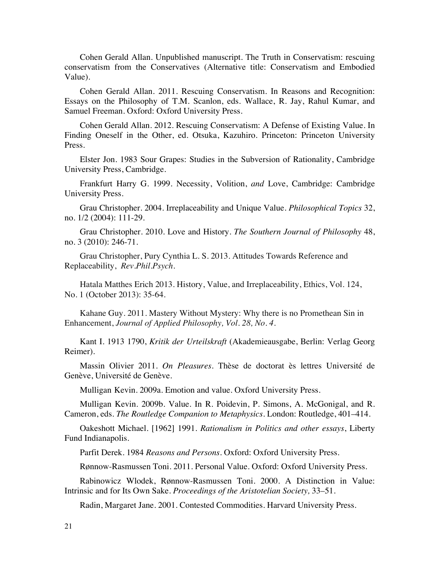Cohen Gerald Allan. Unpublished manuscript. The Truth in Conservatism: rescuing conservatism from the Conservatives (Alternative title: Conservatism and Embodied Value).

Cohen Gerald Allan. 2011. Rescuing Conservatism. In Reasons and Recognition: Essays on the Philosophy of T.M. Scanlon, eds. Wallace, R. Jay, Rahul Kumar, and Samuel Freeman. Oxford: Oxford University Press.

Cohen Gerald Allan. 2012. Rescuing Conservatism: A Defense of Existing Value. In Finding Oneself in the Other, ed. Otsuka, Kazuhiro. Princeton: Princeton University Press.

Elster Jon. 1983 Sour Grapes: Studies in the Subversion of Rationality, Cambridge University Press, Cambridge.

Frankfurt Harry G. 1999. Necessity, Volition, *and* Love, Cambridge: Cambridge University Press.

Grau Christopher. 2004. Irreplaceability and Unique Value. *Philosophical Topics* 32, no. 1/2 (2004): 111-29.

Grau Christopher. 2010. Love and History. *The Southern Journal of Philosophy* 48, no. 3 (2010): 246-71.

Grau Christopher, Pury Cynthia L. S. 2013. Attitudes Towards Reference and Replaceability, *Rev.Phil.Psych.*

Hatala Matthes Erich 2013. History, Value, and Irreplaceability, Ethics, Vol. 124, No. 1 (October 2013): 35-64.

Kahane Guy. 2011. Mastery Without Mystery: Why there is no Promethean Sin in Enhancement, *Journal of Applied Philosophy, Vol. 28, No. 4.*

Kant I. 1913 1790, *Kritik der Urteilskraft* (Akademieausgabe, Berlin: Verlag Georg Reimer).

Massin Olivier 2011. *On Pleasures.* Thèse de doctorat ès lettres Université de Genève, Université de Genève.

Mulligan Kevin. 2009a. Emotion and value. Oxford University Press.

Mulligan Kevin. 2009b. Value. In R. Poidevin, P. Simons, A. McGonigal, and R. Cameron, eds. *The Routledge Companion to Metaphysics.* London: Routledge, 401–414.

Oakeshott Michael. [1962] 1991. *Rationalism in Politics and other essays*, Liberty Fund Indianapolis.

Parfit Derek. 1984 *Reasons and Persons.* Oxford: Oxford University Press.

Rønnow-Rasmussen Toni. 2011. Personal Value. Oxford: Oxford University Press.

Rabinowicz Wlodek, Rønnow-Rasmussen Toni. 2000. A Distinction in Value: Intrinsic and for Its Own Sake. *Proceedings of the Aristotelian Society,* 33–51.

Radin, Margaret Jane. 2001. Contested Commodities. Harvard University Press.